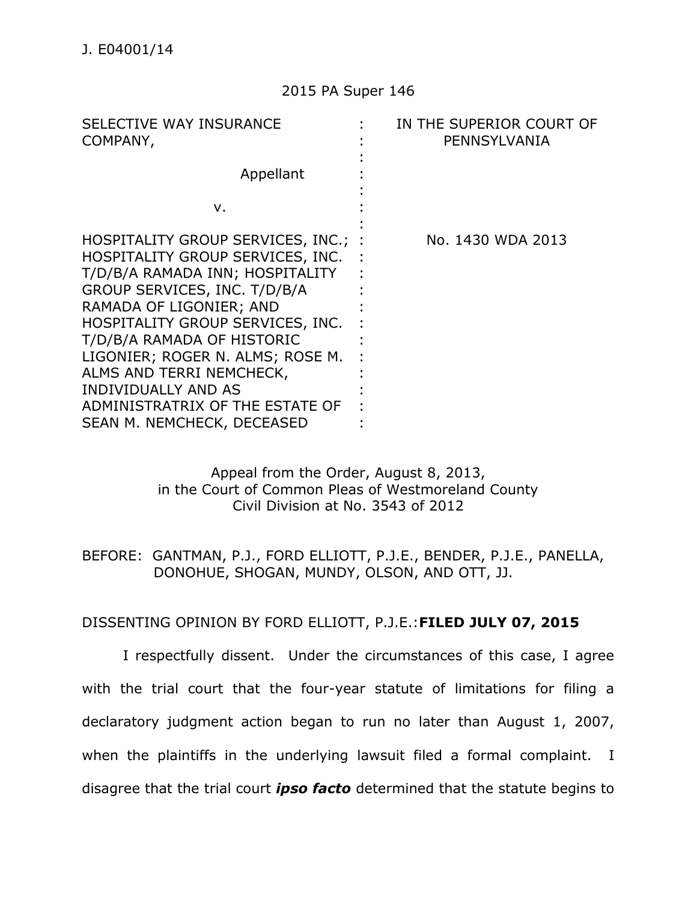### 2015 PA Super 146

| SELECTIVE WAY INSURANCE<br>COMPANY,                                                                                                                                                                                                                                                                                                                               | IN THE SUPERIOR COURT OF<br>PENNSYLVANIA |
|-------------------------------------------------------------------------------------------------------------------------------------------------------------------------------------------------------------------------------------------------------------------------------------------------------------------------------------------------------------------|------------------------------------------|
| Appellant                                                                                                                                                                                                                                                                                                                                                         |                                          |
| ν.                                                                                                                                                                                                                                                                                                                                                                |                                          |
| HOSPITALITY GROUP SERVICES, INC.; :<br>HOSPITALITY GROUP SERVICES, INC.<br>T/D/B/A RAMADA INN; HOSPITALITY<br>GROUP SERVICES, INC. T/D/B/A<br>RAMADA OF LIGONIER; AND<br>HOSPITALITY GROUP SERVICES, INC.<br>T/D/B/A RAMADA OF HISTORIC<br>LIGONIER; ROGER N. ALMS; ROSE M.<br>ALMS AND TERRI NEMCHECK,<br>INDIVIDUALLY AND AS<br>ADMINISTRATRIX OF THE ESTATE OF | No. 1430 WDA 2013                        |
| SEAN M. NEMCHECK, DECEASED                                                                                                                                                                                                                                                                                                                                        |                                          |

## Appeal from the Order, August 8, 2013, in the Court of Common Pleas of Westmoreland County Civil Division at No. 3543 of 2012

# BEFORE: GANTMAN, P.J., FORD ELLIOTT, P.J.E., BENDER, P.J.E., PANELLA, DONOHUE, SHOGAN, MUNDY, OLSON, AND OTT, JJ.

# DISSENTING OPINION BY FORD ELLIOTT, P.J.E.:**FILED JULY 07, 2015**

I respectfully dissent. Under the circumstances of this case, I agree with the trial court that the four-year statute of limitations for filing a declaratory judgment action began to run no later than August 1, 2007, when the plaintiffs in the underlying lawsuit filed a formal complaint. I disagree that the trial court *ipso facto* determined that the statute begins to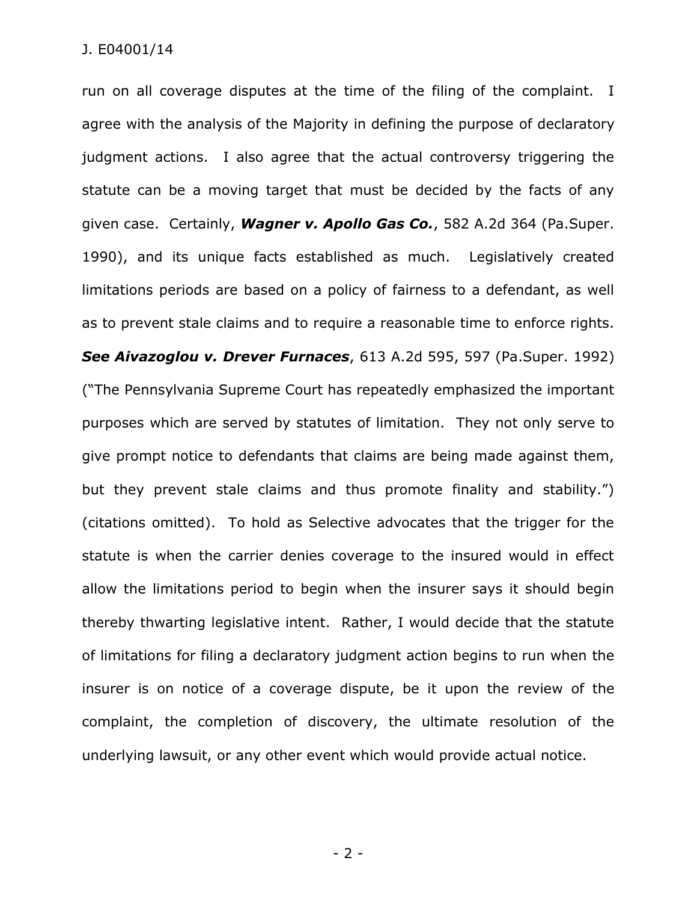run on all coverage disputes at the time of the filing of the complaint. I agree with the analysis of the Majority in defining the purpose of declaratory judgment actions. I also agree that the actual controversy triggering the statute can be a moving target that must be decided by the facts of any given case. Certainly, *Wagner v. Apollo Gas Co.*, 582 A.2d 364 (Pa.Super. 1990), and its unique facts established as much. Legislatively created limitations periods are based on a policy of fairness to a defendant, as well as to prevent stale claims and to require a reasonable time to enforce rights. *See Aivazoglou v. Drever Furnaces*, 613 A.2d 595, 597 (Pa.Super. 1992) ("The Pennsylvania Supreme Court has repeatedly emphasized the important purposes which are served by statutes of limitation. They not only serve to give prompt notice to defendants that claims are being made against them, but they prevent stale claims and thus promote finality and stability.") (citations omitted). To hold as Selective advocates that the trigger for the statute is when the carrier denies coverage to the insured would in effect allow the limitations period to begin when the insurer says it should begin thereby thwarting legislative intent. Rather, I would decide that the statute of limitations for filing a declaratory judgment action begins to run when the insurer is on notice of a coverage dispute, be it upon the review of the complaint, the completion of discovery, the ultimate resolution of the underlying lawsuit, or any other event which would provide actual notice.

- 2 -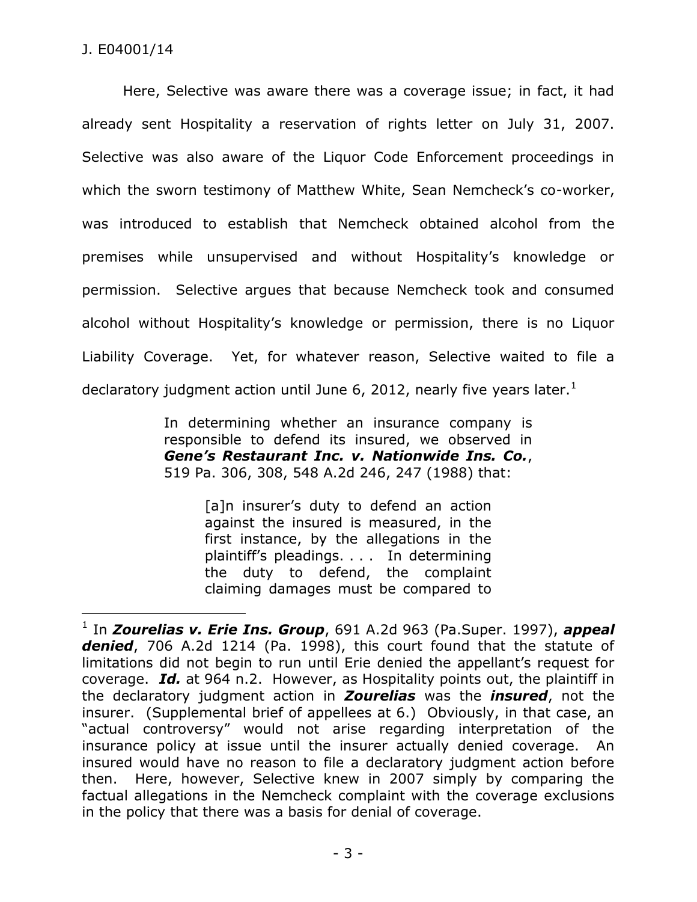$\overline{a}$ 

Here, Selective was aware there was a coverage issue; in fact, it had already sent Hospitality a reservation of rights letter on July 31, 2007. Selective was also aware of the Liquor Code Enforcement proceedings in which the sworn testimony of Matthew White, Sean Nemcheck's co-worker, was introduced to establish that Nemcheck obtained alcohol from the premises while unsupervised and without Hospitality's knowledge or permission. Selective argues that because Nemcheck took and consumed alcohol without Hospitality's knowledge or permission, there is no Liquor Liability Coverage. Yet, for whatever reason, Selective waited to file a declaratory judgment action until June 6, 2012, nearly five years later.<sup>1</sup>

> In determining whether an insurance company is responsible to defend its insured, we observed in *Gene's Restaurant Inc. v. Nationwide Ins. Co.*, 519 Pa. 306, 308, 548 A.2d 246, 247 (1988) that:

> > [a]n insurer's duty to defend an action against the insured is measured, in the first instance, by the allegations in the plaintiff's pleadings. . . . In determining the duty to defend, the complaint claiming damages must be compared to

<sup>1</sup> In *Zourelias v. Erie Ins. Group*, 691 A.2d 963 (Pa.Super. 1997), *appeal denied*, 706 A.2d 1214 (Pa. 1998), this court found that the statute of limitations did not begin to run until Erie denied the appellant's request for coverage. *Id.* at 964 n.2. However, as Hospitality points out, the plaintiff in the declaratory judgment action in *Zourelias* was the *insured*, not the insurer. (Supplemental brief of appellees at 6.) Obviously, in that case, an "actual controversy" would not arise regarding interpretation of the insurance policy at issue until the insurer actually denied coverage. An insured would have no reason to file a declaratory judgment action before then. Here, however, Selective knew in 2007 simply by comparing the factual allegations in the Nemcheck complaint with the coverage exclusions in the policy that there was a basis for denial of coverage.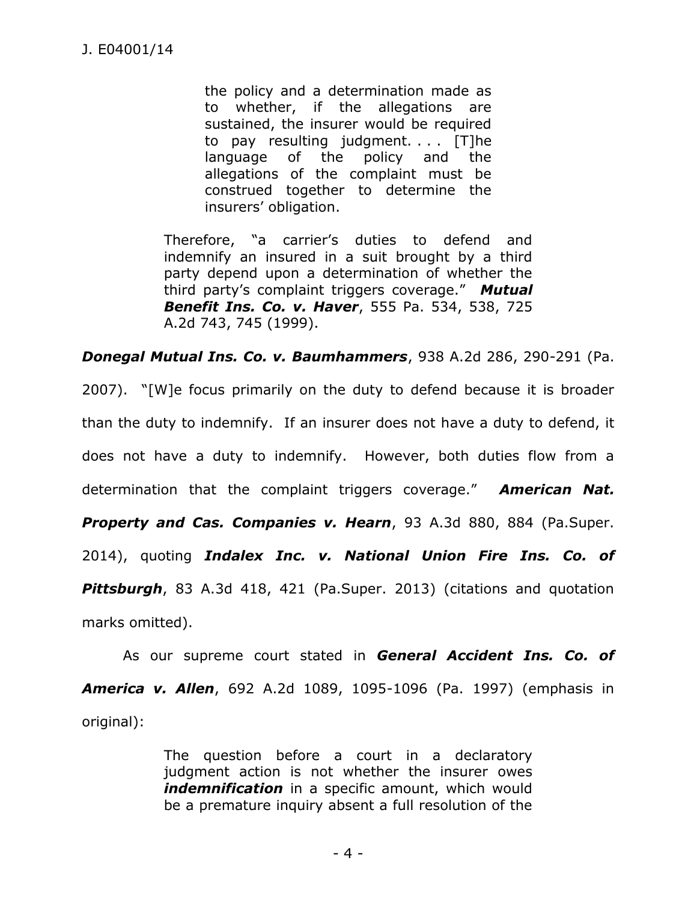the policy and a determination made as to whether, if the allegations are sustained, the insurer would be required to pay resulting judgment. . . . [T]he language of the policy and the allegations of the complaint must be construed together to determine the insurers' obligation.

Therefore, "a carrier's duties to defend and indemnify an insured in a suit brought by a third party depend upon a determination of whether the third party's complaint triggers coverage." *Mutual Benefit Ins. Co. v. Haver*, 555 Pa. 534, 538, 725 A.2d 743, 745 (1999).

*Donegal Mutual Ins. Co. v. Baumhammers*, 938 A.2d 286, 290-291 (Pa.

2007). "[W]e focus primarily on the duty to defend because it is broader than the duty to indemnify. If an insurer does not have a duty to defend, it does not have a duty to indemnify. However, both duties flow from a determination that the complaint triggers coverage." *American Nat. Property and Cas. Companies v. Hearn*, 93 A.3d 880, 884 (Pa.Super. 2014), quoting *Indalex Inc. v. National Union Fire Ins. Co. of Pittsburgh*, 83 A.3d 418, 421 (Pa.Super. 2013) (citations and quotation marks omitted).

As our supreme court stated in *General Accident Ins. Co. of America v. Allen*, 692 A.2d 1089, 1095-1096 (Pa. 1997) (emphasis in original):

> The question before a court in a declaratory judgment action is not whether the insurer owes **indemnification** in a specific amount, which would be a premature inquiry absent a full resolution of the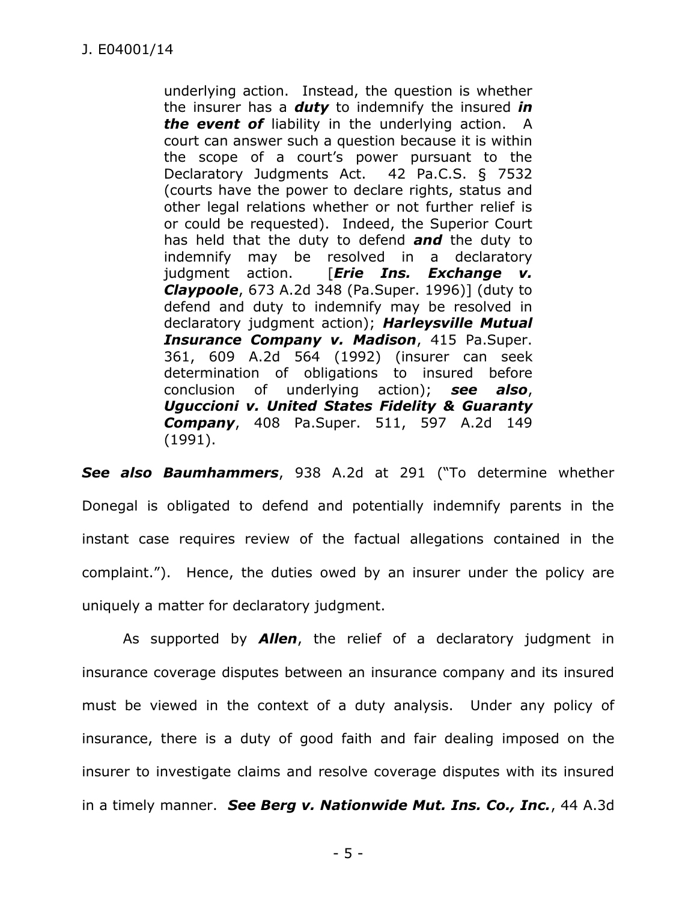underlying action. Instead, the question is whether the insurer has a *duty* to indemnify the insured *in the event of* liability in the underlying action. A court can answer such a question because it is within the scope of a court's power pursuant to the Declaratory Judgments Act. 42 Pa.C.S. § 7532 (courts have the power to declare rights, status and other legal relations whether or not further relief is or could be requested). Indeed, the Superior Court has held that the duty to defend *and* the duty to indemnify may be resolved in a declaratory judgment action. [*Erie Ins. Exchange v. Claypoole*, 673 A.2d 348 (Pa.Super. 1996)] (duty to defend and duty to indemnify may be resolved in declaratory judgment action); *Harleysville Mutual Insurance Company v. Madison*, 415 Pa.Super. 361, 609 A.2d 564 (1992) (insurer can seek determination of obligations to insured before conclusion of underlying action); *see also*, *Uguccioni v. United States Fidelity & Guaranty Company*, 408 Pa.Super. 511, 597 A.2d 149 (1991).

*See also Baumhammers*, 938 A.2d at 291 ("To determine whether Donegal is obligated to defend and potentially indemnify parents in the instant case requires review of the factual allegations contained in the complaint."). Hence, the duties owed by an insurer under the policy are uniquely a matter for declaratory judgment.

As supported by *Allen*, the relief of a declaratory judgment in insurance coverage disputes between an insurance company and its insured must be viewed in the context of a duty analysis. Under any policy of insurance, there is a duty of good faith and fair dealing imposed on the insurer to investigate claims and resolve coverage disputes with its insured in a timely manner. *See Berg v. Nationwide Mut. Ins. Co., Inc.*, 44 A.3d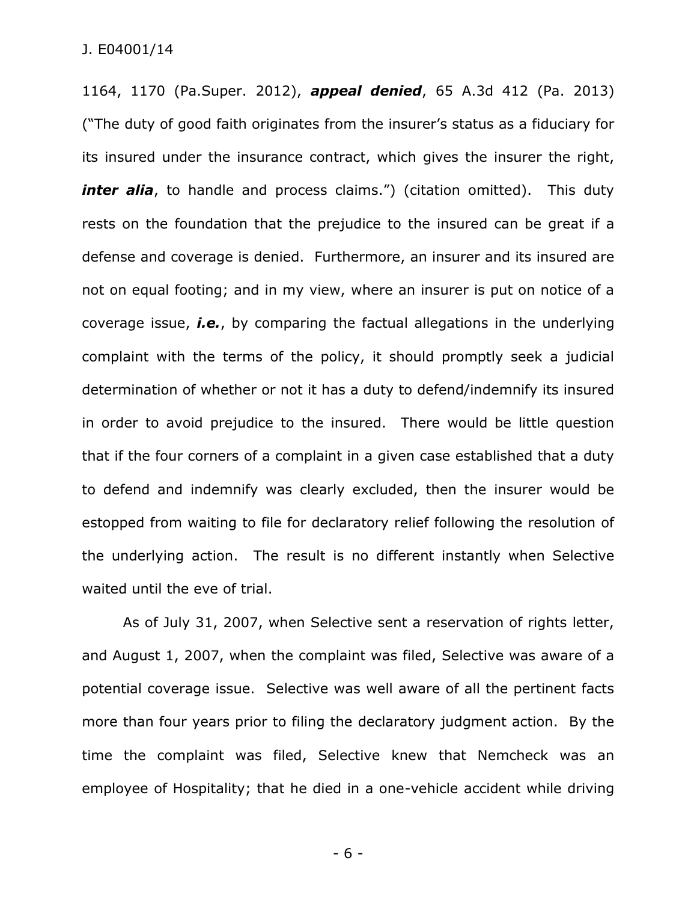1164, 1170 (Pa.Super. 2012), *appeal denied*, 65 A.3d 412 (Pa. 2013) ("The duty of good faith originates from the insurer's status as a fiduciary for its insured under the insurance contract, which gives the insurer the right, *inter alia*, to handle and process claims.") (citation omitted). This duty rests on the foundation that the prejudice to the insured can be great if a defense and coverage is denied. Furthermore, an insurer and its insured are not on equal footing; and in my view, where an insurer is put on notice of a coverage issue, *i.e.*, by comparing the factual allegations in the underlying complaint with the terms of the policy, it should promptly seek a judicial determination of whether or not it has a duty to defend/indemnify its insured in order to avoid prejudice to the insured. There would be little question that if the four corners of a complaint in a given case established that a duty to defend and indemnify was clearly excluded, then the insurer would be estopped from waiting to file for declaratory relief following the resolution of the underlying action. The result is no different instantly when Selective waited until the eve of trial.

As of July 31, 2007, when Selective sent a reservation of rights letter, and August 1, 2007, when the complaint was filed, Selective was aware of a potential coverage issue. Selective was well aware of all the pertinent facts more than four years prior to filing the declaratory judgment action. By the time the complaint was filed, Selective knew that Nemcheck was an employee of Hospitality; that he died in a one-vehicle accident while driving

- 6 -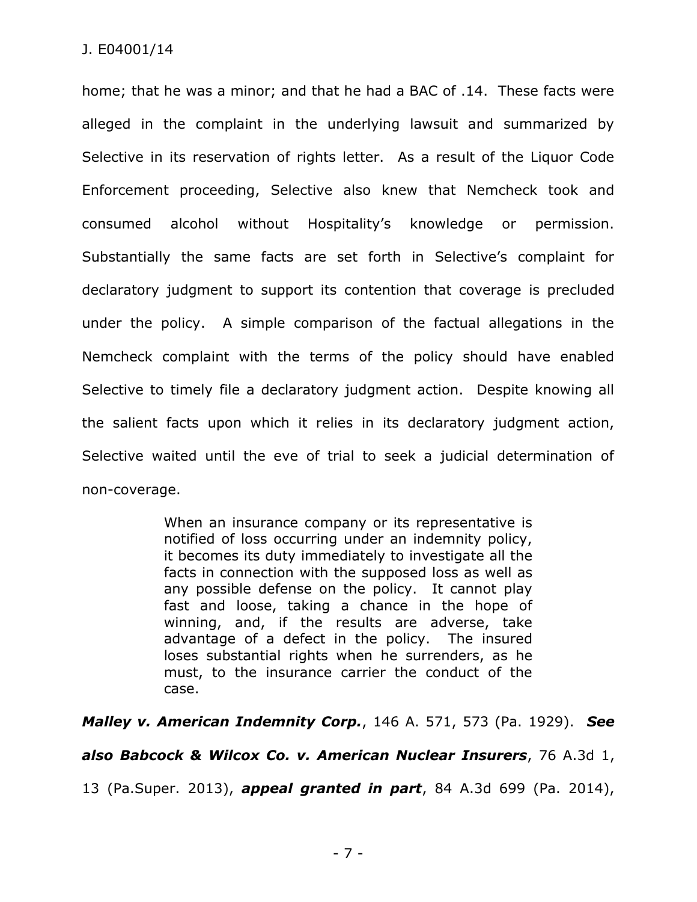home; that he was a minor; and that he had a BAC of .14. These facts were alleged in the complaint in the underlying lawsuit and summarized by Selective in its reservation of rights letter. As a result of the Liquor Code Enforcement proceeding, Selective also knew that Nemcheck took and consumed alcohol without Hospitality's knowledge or permission. Substantially the same facts are set forth in Selective's complaint for declaratory judgment to support its contention that coverage is precluded under the policy. A simple comparison of the factual allegations in the Nemcheck complaint with the terms of the policy should have enabled Selective to timely file a declaratory judgment action. Despite knowing all the salient facts upon which it relies in its declaratory judgment action, Selective waited until the eve of trial to seek a judicial determination of non-coverage.

> When an insurance company or its representative is notified of loss occurring under an indemnity policy, it becomes its duty immediately to investigate all the facts in connection with the supposed loss as well as any possible defense on the policy. It cannot play fast and loose, taking a chance in the hope of winning, and, if the results are adverse, take advantage of a defect in the policy. The insured loses substantial rights when he surrenders, as he must, to the insurance carrier the conduct of the case.

*Malley v. American Indemnity Corp.*, 146 A. 571, 573 (Pa. 1929). *See* 

*also Babcock & Wilcox Co. v. American Nuclear Insurers*, 76 A.3d 1,

13 (Pa.Super. 2013), *appeal granted in part*, 84 A.3d 699 (Pa. 2014),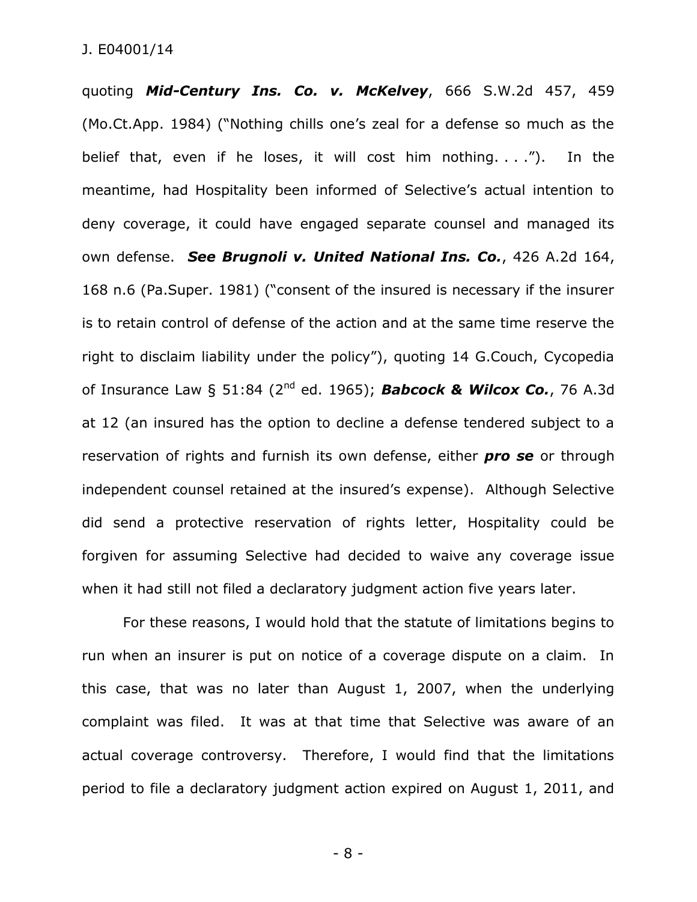quoting *Mid-Century Ins. Co. v. McKelvey*, 666 S.W.2d 457, 459 (Mo.Ct.App. 1984) ("Nothing chills one's zeal for a defense so much as the belief that, even if he loses, it will cost him nothing. . . ."). In the meantime, had Hospitality been informed of Selective's actual intention to deny coverage, it could have engaged separate counsel and managed its own defense. *See Brugnoli v. United National Ins. Co.*, 426 A.2d 164, 168 n.6 (Pa.Super. 1981) ("consent of the insured is necessary if the insurer is to retain control of defense of the action and at the same time reserve the right to disclaim liability under the policy"), quoting 14 G.Couch, Cycopedia of Insurance Law § 51:84 (2nd ed. 1965); *Babcock & Wilcox Co.*, 76 A.3d at 12 (an insured has the option to decline a defense tendered subject to a reservation of rights and furnish its own defense, either *pro se* or through independent counsel retained at the insured's expense). Although Selective did send a protective reservation of rights letter, Hospitality could be forgiven for assuming Selective had decided to waive any coverage issue when it had still not filed a declaratory judgment action five years later.

For these reasons, I would hold that the statute of limitations begins to run when an insurer is put on notice of a coverage dispute on a claim. In this case, that was no later than August 1, 2007, when the underlying complaint was filed. It was at that time that Selective was aware of an actual coverage controversy. Therefore, I would find that the limitations period to file a declaratory judgment action expired on August 1, 2011, and

- 8 -